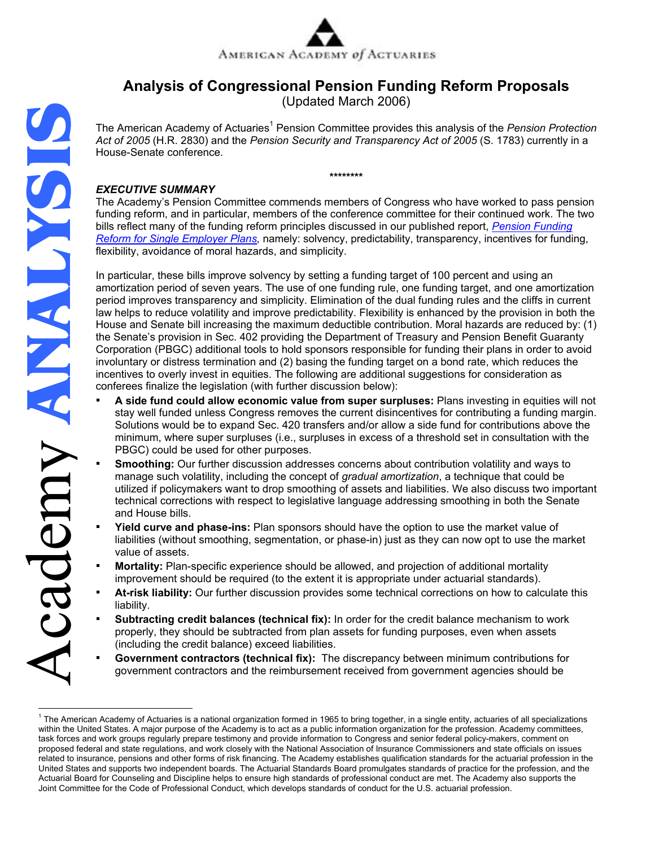

# **Analysis of Congressional Pension Funding Reform Proposals**

(Updated March 2006)

The American Academy of Actuaries<sup>1</sup> Pension Committee provides this analysis of the *Pension Protection Act of 2005* (H.R. 2830) and the *Pension Security and Transparency Act of 2005* (S. 1783) currently in a House-Senate conference*.* 

**\*\*\*\*\*\*\*\*** 

# *EXECUTIVE SUMMARY*

The Academy's Pension Committee commends members of Congress who have worked to pass pension funding reform, and in particular, members of the conference committee for their continued work. The two [bills reflect many of the funding reform principles discussed in our published report,](http://www.actuary.org/pdf/pension/funding_single.pdf) *Pension Funding Reform for Single Employer Plans,* namely: solvency, predictability, transparency, incentives for funding, flexibility, avoidance of moral hazards, and simplicity.

In particular, these bills improve solvency by setting a funding target of 100 percent and using an amortization period of seven years. The use of one funding rule, one funding target, and one amortization period improves transparency and simplicity. Elimination of the dual funding rules and the cliffs in current law helps to reduce volatility and improve predictability. Flexibility is enhanced by the provision in both the House and Senate bill increasing the maximum deductible contribution. Moral hazards are reduced by: (1) the Senate's provision in Sec. 402 providing the Department of Treasury and Pension Benefit Guaranty Corporation (PBGC) additional tools to hold sponsors responsible for funding their plans in order to avoid involuntary or distress termination and (2) basing the funding target on a bond rate, which reduces the incentives to overly invest in equities. The following are additional suggestions for consideration as conferees finalize the legislation (with further discussion below):

- **A side fund could allow economic value from super surpluses:** Plans investing in equities will not stay well funded unless Congress removes the current disincentives for contributing a funding margin. Solutions would be to expand Sec. 420 transfers and/or allow a side fund for contributions above the minimum, where super surpluses (i.e., surpluses in excess of a threshold set in consultation with the PBGC) could be used for other purposes.
- **Smoothing:** Our further discussion addresses concerns about contribution volatility and ways to manage such volatility, including the concept of *gradual amortization*, a technique that could be utilized if policymakers want to drop smoothing of assets and liabilities. We also discuss two important technical corrections with respect to legislative language addressing smoothing in both the Senate and House bills.
- **Yield curve and phase-ins:** Plan sponsors should have the option to use the market value of liabilities (without smoothing, segmentation, or phase-in) just as they can now opt to use the market value of assets.
- **Mortality:** Plan-specific experience should be allowed, and projection of additional mortality improvement should be required (to the extent it is appropriate under actuarial standards).
- At-risk liability: Our further discussion provides some technical corrections on how to calculate this liability.
- **Subtracting credit balances (technical fix):** In order for the credit balance mechanism to work properly, they should be subtracted from plan assets for funding purposes, even when assets (including the credit balance) exceed liabilities.
- Government contractors (technical fix): The discrepancy between minimum contributions for government contractors and the reimbursement received from government agencies should be

 $\frac{1}{1}$  $1$  The American Academy of Actuaries is a national organization formed in 1965 to bring together, in a single entity, actuaries of all specializations within the United States. A major purpose of the Academy is to act as a public information organization for the profession. Academy committees, task forces and work groups regularly prepare testimony and provide information to Congress and senior federal policy-makers, comment on proposed federal and state regulations, and work closely with the National Association of Insurance Commissioners and state officials on issues related to insurance, pensions and other forms of risk financing. The Academy establishes qualification standards for the actuarial profession in the United States and supports two independent boards. The Actuarial Standards Board promulgates standards of practice for the profession, and the Actuarial Board for Counseling and Discipline helps to ensure high standards of professional conduct are met. The Academy also supports the Joint Committee for the Code of Professional Conduct, which develops standards of conduct for the U.S. actuarial profession.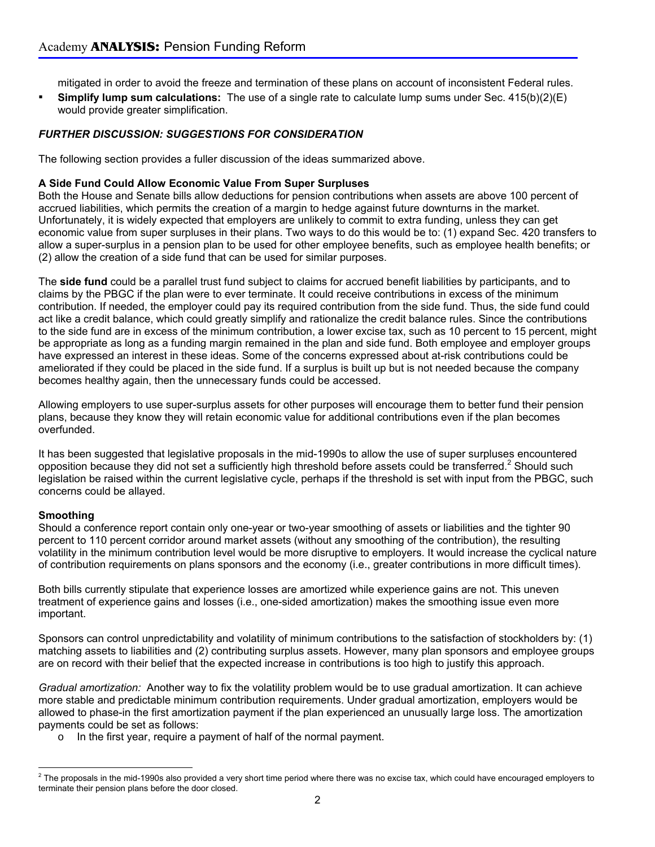mitigated in order to avoid the freeze and termination of these plans on account of inconsistent Federal rules.

▪ **Simplify lump sum calculations:** The use of a single rate to calculate lump sums under Sec. 415(b)(2)(E) would provide greater simplification.

## *FURTHER DISCUSSION: SUGGESTIONS FOR CONSIDERATION*

The following section provides a fuller discussion of the ideas summarized above.

### **A Side Fund Could Allow Economic Value From Super Surpluses**

Both the House and Senate bills allow deductions for pension contributions when assets are above 100 percent of accrued liabilities, which permits the creation of a margin to hedge against future downturns in the market. Unfortunately, it is widely expected that employers are unlikely to commit to extra funding, unless they can get economic value from super surpluses in their plans. Two ways to do this would be to: (1) expand Sec. 420 transfers to allow a super-surplus in a pension plan to be used for other employee benefits, such as employee health benefits; or (2) allow the creation of a side fund that can be used for similar purposes.

The **side fund** could be a parallel trust fund subject to claims for accrued benefit liabilities by participants, and to claims by the PBGC if the plan were to ever terminate. It could receive contributions in excess of the minimum contribution. If needed, the employer could pay its required contribution from the side fund. Thus, the side fund could act like a credit balance, which could greatly simplify and rationalize the credit balance rules. Since the contributions to the side fund are in excess of the minimum contribution, a lower excise tax, such as 10 percent to 15 percent, might be appropriate as long as a funding margin remained in the plan and side fund. Both employee and employer groups have expressed an interest in these ideas. Some of the concerns expressed about at-risk contributions could be ameliorated if they could be placed in the side fund. If a surplus is built up but is not needed because the company becomes healthy again, then the unnecessary funds could be accessed.

Allowing employers to use super-surplus assets for other purposes will encourage them to better fund their pension plans, because they know they will retain economic value for additional contributions even if the plan becomes overfunded.

It has been suggested that legislative proposals in the mid-1990s to allow the use of super surpluses encountered opposition because they did not set a sufficiently high threshold before assets could be transferred.<sup>2</sup> Should such legislation be raised within the current legislative cycle, perhaps if the threshold is set with input from the PBGC, such concerns could be allayed.

#### **Smoothing**

Should a conference report contain only one-year or two-year smoothing of assets or liabilities and the tighter 90 percent to 110 percent corridor around market assets (without any smoothing of the contribution), the resulting volatility in the minimum contribution level would be more disruptive to employers. It would increase the cyclical nature of contribution requirements on plans sponsors and the economy (i.e., greater contributions in more difficult times).

Both bills currently stipulate that experience losses are amortized while experience gains are not. This uneven treatment of experience gains and losses (i.e., one-sided amortization) makes the smoothing issue even more important.

Sponsors can control unpredictability and volatility of minimum contributions to the satisfaction of stockholders by: (1) matching assets to liabilities and (2) contributing surplus assets. However, many plan sponsors and employee groups are on record with their belief that the expected increase in contributions is too high to justify this approach.

*Gradual amortization:* Another way to fix the volatility problem would be to use gradual amortization. It can achieve more stable and predictable minimum contribution requirements. Under gradual amortization, employers would be allowed to phase-in the first amortization payment if the plan experienced an unusually large loss. The amortization payments could be set as follows:

o In the first year, require a payment of half of the normal payment.

 $^2$  The proposals in the mid-1990s also provided a very short time period where there was no excise tax, which could have encouraged employers to  $\overline{ }$ terminate their pension plans before the door closed.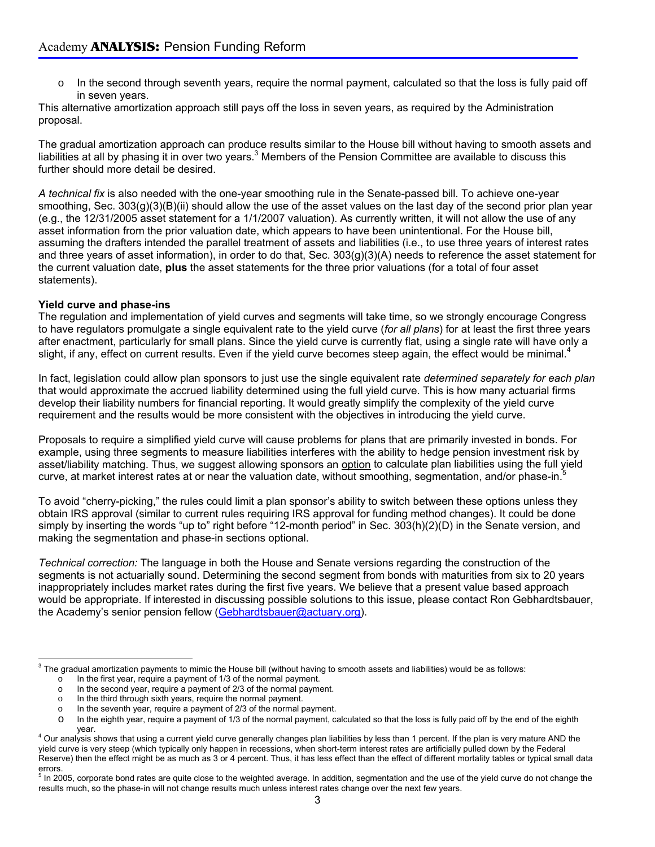o In the second through seventh years, require the normal payment, calculated so that the loss is fully paid off in seven years.

This alternative amortization approach still pays off the loss in seven years, as required by the Administration proposal.

The gradual amortization approach can produce results similar to the House bill without having to smooth assets and liabilities at all by phasing it in over two years.<sup>3</sup> Members of the Pension Committee are available to discuss this further should more detail be desired.

*A technical fix* is also needed with the one-year smoothing rule in the Senate-passed bill. To achieve one-year smoothing, Sec.  $303(g)(3)(B)(ii)$  should allow the use of the asset values on the last day of the second prior plan year (e.g., the 12/31/2005 asset statement for a 1/1/2007 valuation). As currently written, it will not allow the use of any asset information from the prior valuation date, which appears to have been unintentional. For the House bill, assuming the drafters intended the parallel treatment of assets and liabilities (i.e., to use three years of interest rates and three years of asset information), in order to do that, Sec. 303(g)(3)(A) needs to reference the asset statement for the current valuation date, **plus** the asset statements for the three prior valuations (for a total of four asset statements).

#### **Yield curve and phase-ins**

 $\overline{a}$ 

The regulation and implementation of yield curves and segments will take time, so we strongly encourage Congress to have regulators promulgate a single equivalent rate to the yield curve (*for all plans*) for at least the first three years after enactment, particularly for small plans. Since the yield curve is currently flat, using a single rate will have only a slight, if any, effect on current results. Even if the yield curve becomes steep again, the effect would be minimal.<sup>4</sup>

In fact, legislation could allow plan sponsors to just use the single equivalent rate *determined separately for each plan* that would approximate the accrued liability determined using the full yield curve. This is how many actuarial firms develop their liability numbers for financial reporting. It would greatly simplify the complexity of the yield curve requirement and the results would be more consistent with the objectives in introducing the yield curve.

Proposals to require a simplified yield curve will cause problems for plans that are primarily invested in bonds. For example, using three segments to measure liabilities interferes with the ability to hedge pension investment risk by asset/liability matching. Thus, we suggest allowing sponsors an option to calculate plan liabilities using the full yield curve, at market interest rates at or near the valuation date, without smoothing, segmentation, and/or phase-in.<sup>5</sup>

To avoid "cherry-picking," the rules could limit a plan sponsor's ability to switch between these options unless they obtain IRS approval (similar to current rules requiring IRS approval for funding method changes). It could be done simply by inserting the words "up to" right before "12-month period" in Sec. 303(h)(2)(D) in the Senate version, and making the segmentation and phase-in sections optional.

*Technical correction:* The language in both the House and Senate versions regarding the construction of the segments is not actuarially sound. Determining the second segment from bonds with maturities from six to 20 years inappropriately includes market rates during the first five years. We believe that a present value based approach would be appropriate. If interested in discussing possible solutions to this issue, please contact Ron Gebhardtsbauer, the Academy's senior pension fellow (Gebhardtsbauer@actuary.org).

 $3$  The gradual amortization payments to mimic the House bill (without having to smooth assets and liabilities) would be as follows:

 $\circ$  In the first year, require a payment of 1/3 of the normal payment. o In the second year, require a payment of 2/3 of the normal payment.

o In the third through sixth years, require the normal payment.

o In the seventh year, require a payment of 2/3 of the normal payment.

o In the eighth year, require a payment of 1/3 of the normal payment, calculated so that the loss is fully paid off by the end of the eighth

year. <sup>4</sup> Our analysis shows that using a current yield curve generally changes plan liabilities by less than 1 percent. If the plan is very mature AND the yield curve is very steep (which typically only happen in recessions, when short-term interest rates are artificially pulled down by the Federal Reserve) then the effect might be as much as 3 or 4 percent. Thus, it has less effect than the effect of different mortality tables or typical small data errors.

<sup>&</sup>lt;sup>5</sup> In 2005, corporate bond rates are quite close to the weighted average. In addition, segmentation and the use of the yield curve do not change the results much, so the phase-in will not change results much unless interest rates change over the next few years.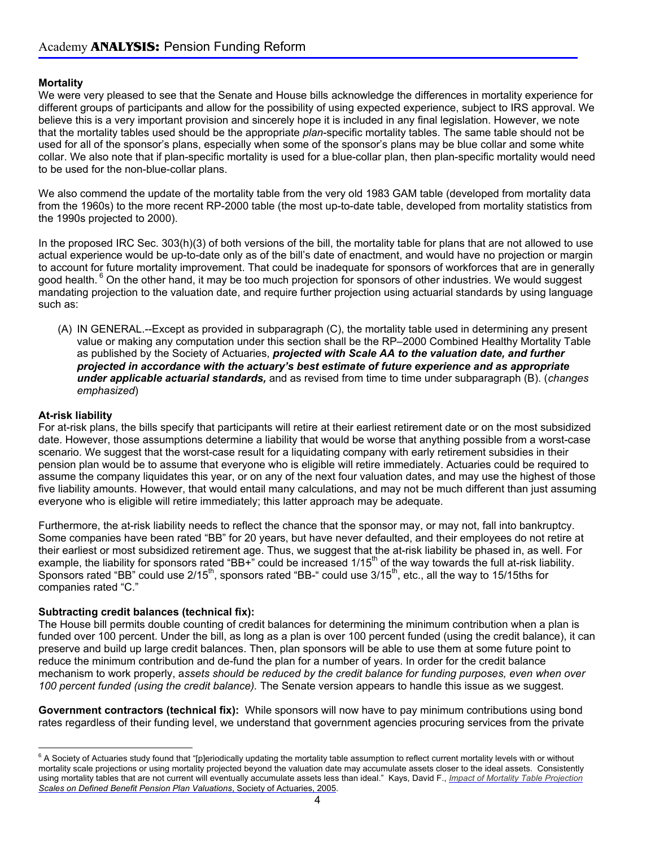## **Mortality**

We were very pleased to see that the Senate and House bills acknowledge the differences in mortality experience for different groups of participants and allow for the possibility of using expected experience, subject to IRS approval. We believe this is a very important provision and sincerely hope it is included in any final legislation. However, we note that the mortality tables used should be the appropriate *plan*-specific mortality tables. The same table should not be used for all of the sponsor's plans, especially when some of the sponsor's plans may be blue collar and some white collar. We also note that if plan-specific mortality is used for a blue-collar plan, then plan-specific mortality would need to be used for the non-blue-collar plans.

We also commend the update of the mortality table from the very old 1983 GAM table (developed from mortality data from the 1960s) to the more recent RP-2000 table (the most up-to-date table, developed from mortality statistics from the 1990s projected to 2000).

In the proposed IRC Sec. 303(h)(3) of both versions of the bill, the mortality table for plans that are not allowed to use actual experience would be up-to-date only as of the bill's date of enactment, and would have no projection or margin to account for future mortality improvement. That could be inadequate for sponsors of workforces that are in generally good health. <sup>6</sup> On the other hand, it may be too much projection for sponsors of other industries. We would suggest mandating projection to the valuation date, and require further projection using actuarial standards by using language such as:

(A) IN GENERAL.--Except as provided in subparagraph (C), the mortality table used in determining any present value or making any computation under this section shall be the RP–2000 Combined Healthy Mortality Table as published by the Society of Actuaries, *projected with Scale AA to the valuation date, and further projected in accordance with the actuary's best estimate of future experience and as appropriate under applicable actuarial standards,* and as revised from time to time under subparagraph (B). (*changes emphasized*)

## **At-risk liability**

For at-risk plans, the bills specify that participants will retire at their earliest retirement date or on the most subsidized date. However, those assumptions determine a liability that would be worse that anything possible from a worst-case scenario. We suggest that the worst-case result for a liquidating company with early retirement subsidies in their pension plan would be to assume that everyone who is eligible will retire immediately. Actuaries could be required to assume the company liquidates this year, or on any of the next four valuation dates, and may use the highest of those five liability amounts. However, that would entail many calculations, and may not be much different than just assuming everyone who is eligible will retire immediately; this latter approach may be adequate.

Furthermore, the at-risk liability needs to reflect the chance that the sponsor may, or may not, fall into bankruptcy. Some companies have been rated "BB" for 20 years, but have never defaulted, and their employees do not retire at their earliest or most subsidized retirement age. Thus, we suggest that the at-risk liability be phased in, as well. For example, the liability for sponsors rated "BB+" could be increased  $1/15<sup>th</sup>$  of the way towards the full at-risk liability. Sponsors rated "BB" could use  $2/15<sup>th</sup>$ , sponsors rated "BB-" could use  $3/15<sup>th</sup>$ , etc., all the way to 15/15ths for companies rated "C."

#### **Subtracting credit balances (technical fix):**

The House bill permits double counting of credit balances for determining the minimum contribution when a plan is funded over 100 percent. Under the bill, as long as a plan is over 100 percent funded (using the credit balance), it can preserve and build up large credit balances. Then, plan sponsors will be able to use them at some future point to reduce the minimum contribution and de-fund the plan for a number of years. In order for the credit balance mechanism to work properly, a*ssets should be reduced by the credit balance for funding purposes, even when over 100 percent funded (using the credit balance).* The Senate version appears to handle this issue as we suggest.

**Government contractors (technical fix):** While sponsors will now have to pay minimum contributions using bond rates regardless of their funding level, we understand that government agencies procuring services from the private

 6 A Society of Actuaries study found that "[p]eriodically updating the mortality table assumption to reflect current mortality levels with or without mortality scale projections or using mortality projected beyond the valuation date may accumulate assets closer to the ideal assets. Consistently [using mortality tables that are not current will eventually accumulate assets less than ideal." Kays, David F.,](http://www.soa.org/ccm/content/areas-of-practice/retirement-pension/research/impact-of-mortality-projection-scales-on-defined-benefit-pension-plan-valuations/) *Impact of Mortality Table Projection Scales on Defined Benefit Pension Plan Valuations*, Society of Actuaries, 2005.